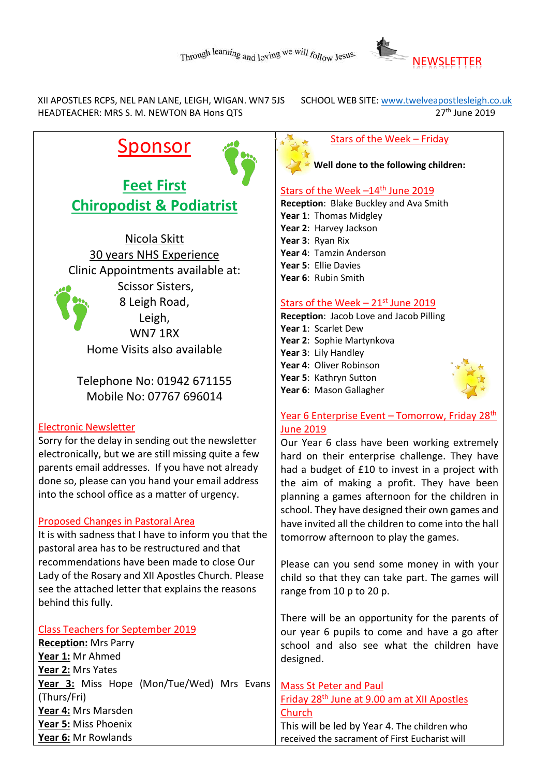

XII APOSTLES RCPS, NEL PAN LANE, LEIGH, WIGAN. WN7 5JS SCHOOL WEB SITE: www.twelveapostlesleigh.co.uk<br>HEADTEACHER: MRS S. M. NEWTON BA Hons OTS HEADTEACHER: MRS S. M. NEWTON BA Hons QTS

# **Sponsor**

**Feet First Chiropodist & Podiatrist**

Nicola Skitt 30 years NHS Experience Clinic Appointments available at: Scissor Sisters, 8 Leigh Road, Leigh, WN7 1RX Home Visits also available

Telephone No: 01942 671155 Mobile No: 07767 696014

#### Electronic Newsletter

Sorry for the delay in sending out the newsletter electronically, but we are still missing quite a few parents email addresses. If you have not already done so, please can you hand your email address into the school office as a matter of urgency.

#### Proposed Changes in Pastoral Area

It is with sadness that I have to inform you that the pastoral area has to be restructured and that recommendations have been made to close Our Lady of the Rosary and XII Apostles Church. Please see the attached letter that explains the reasons behind this fully.

Class Teachers for September 2019 **Reception:** Mrs Parry **Year 1:** Mr Ahmed **Year 2:** Mrs Yates **Year 3:** Miss Hope (Mon/Tue/Wed) Mrs Evans (Thurs/Fri) **Year 4:** Mrs Marsden **Year 5:** Miss Phoenix **Year 6:** Mr Rowlands

#### Stars of the Week – Friday

**Well done to the following children:**

#### Stars of the Week  $-14$ <sup>th</sup> June 2019

**Reception**: Blake Buckley and Ava Smith

- **Year 1**: Thomas Midgley
- **Year 2**: Harvey Jackson
- **Year 3**: Ryan Rix
- **Year 4**: Tamzin Anderson
- **Year 5**: Ellie Davies
- **Year 6**: Rubin Smith

#### Stars of the Week  $-21$ <sup>st</sup> June 2019

**Reception**: Jacob Love and Jacob Pilling **Year 1**: Scarlet Dew **Year 2**: Sophie Martynkova **Year 3**: Lily Handley **Year 4**: Oliver Robinson **Year 5**: Kathryn Sutton **Year 6**: Mason Gallagher

#### Year 6 Enterprise Event - Tomorrow, Friday 28th June 2019

Our Year 6 class have been working extremely hard on their enterprise challenge. They have had a budget of £10 to invest in a project with the aim of making a profit. They have been planning a games afternoon for the children in school. They have designed their own games and have invited all the children to come into the hall tomorrow afternoon to play the games.

Please can you send some money in with your child so that they can take part. The games will range from 10 p to 20 p.

There will be an opportunity for the parents of our year 6 pupils to come and have a go after school and also see what the children have designed.

Mass St Peter and Paul Friday 28th June at 9.00 am at XII Apostles Church This will be led by Year 4. The children who

received the sacrament of First Eucharist will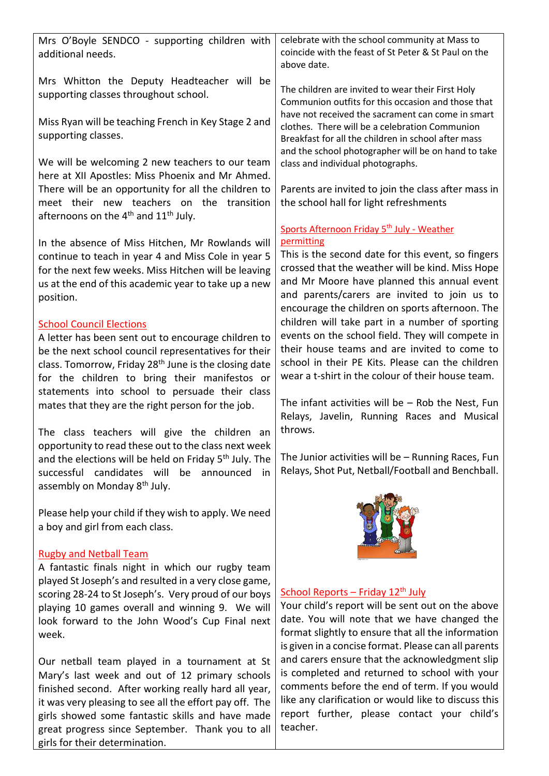| Mrs O'Boyle SENDCO - supporting children with<br>additional needs.                                                                                                                                                                                                                                                     | celebrate with the school community at Mass to<br>coincide with the feast of St Peter & St Paul on the<br>above date.                                                                                                                                            |
|------------------------------------------------------------------------------------------------------------------------------------------------------------------------------------------------------------------------------------------------------------------------------------------------------------------------|------------------------------------------------------------------------------------------------------------------------------------------------------------------------------------------------------------------------------------------------------------------|
| Mrs Whitton the Deputy Headteacher will be<br>supporting classes throughout school.                                                                                                                                                                                                                                    | The children are invited to wear their First Holy<br>Communion outfits for this occasion and those that<br>have not received the sacrament can come in smart                                                                                                     |
| Miss Ryan will be teaching French in Key Stage 2 and<br>supporting classes.                                                                                                                                                                                                                                            | clothes. There will be a celebration Communion<br>Breakfast for all the children in school after mass<br>and the school photographer will be on hand to take                                                                                                     |
| We will be welcoming 2 new teachers to our team<br>here at XII Apostles: Miss Phoenix and Mr Ahmed.                                                                                                                                                                                                                    | class and individual photographs.                                                                                                                                                                                                                                |
| There will be an opportunity for all the children to<br>meet their new teachers on the transition<br>afternoons on the $4^{th}$ and $11^{th}$ July.                                                                                                                                                                    | Parents are invited to join the class after mass in<br>the school hall for light refreshments                                                                                                                                                                    |
| In the absence of Miss Hitchen, Mr Rowlands will                                                                                                                                                                                                                                                                       | Sports Afternoon Friday 5 <sup>th</sup> July - Weather<br>permitting<br>This is the second date for this event, so fingers                                                                                                                                       |
| continue to teach in year 4 and Miss Cole in year 5<br>for the next few weeks. Miss Hitchen will be leaving<br>us at the end of this academic year to take up a new<br>position.                                                                                                                                       | crossed that the weather will be kind. Miss Hope<br>and Mr Moore have planned this annual event<br>and parents/carers are invited to join us to<br>encourage the children on sports afternoon. The                                                               |
| <b>School Council Elections</b><br>A letter has been sent out to encourage children to<br>be the next school council representatives for their<br>class. Tomorrow, Friday 28 <sup>th</sup> June is the closing date<br>for the children to bring their manifestos or<br>statements into school to persuade their class | children will take part in a number of sporting<br>events on the school field. They will compete in<br>their house teams and are invited to come to<br>school in their PE Kits. Please can the children<br>wear a t-shirt in the colour of their house team.     |
| mates that they are the right person for the job.<br>The class teachers will give the children an                                                                                                                                                                                                                      | The infant activities will be $-$ Rob the Nest, Fun<br>Relays, Javelin, Running Races and Musical<br>throws.                                                                                                                                                     |
| opportunity to read these out to the class next week<br>and the elections will be held on Friday 5 <sup>th</sup> July. The<br>successful candidates will<br>be<br>announced<br>in<br>assembly on Monday 8 <sup>th</sup> July.                                                                                          | The Junior activities will be - Running Races, Fun<br>Relays, Shot Put, Netball/Football and Benchball.                                                                                                                                                          |
| Please help your child if they wish to apply. We need<br>a boy and girl from each class.                                                                                                                                                                                                                               |                                                                                                                                                                                                                                                                  |
| <b>Rugby and Netball Team</b><br>A fantastic finals night in which our rugby team                                                                                                                                                                                                                                      |                                                                                                                                                                                                                                                                  |
| played St Joseph's and resulted in a very close game,<br>scoring 28-24 to St Joseph's. Very proud of our boys<br>playing 10 games overall and winning 9. We will<br>look forward to the John Wood's Cup Final next<br>week.                                                                                            | School Reports - Friday 12 <sup>th</sup> July<br>Your child's report will be sent out on the above<br>date. You will note that we have changed the<br>format slightly to ensure that all the information<br>is given in a concise format. Please can all parents |
| Our netball team played in a tournament at St<br>Mary's last week and out of 12 primary schools<br>finished second. After working really hard all year,<br>it was very pleasing to see all the effort pay off. The<br>girls showed some fantastic skills and have made                                                 | and carers ensure that the acknowledgment slip<br>is completed and returned to school with your<br>comments before the end of term. If you would<br>like any clarification or would like to discuss this<br>report further, please contact your child's          |

teacher.

great progress since September. Thank you to all

girls for their determination.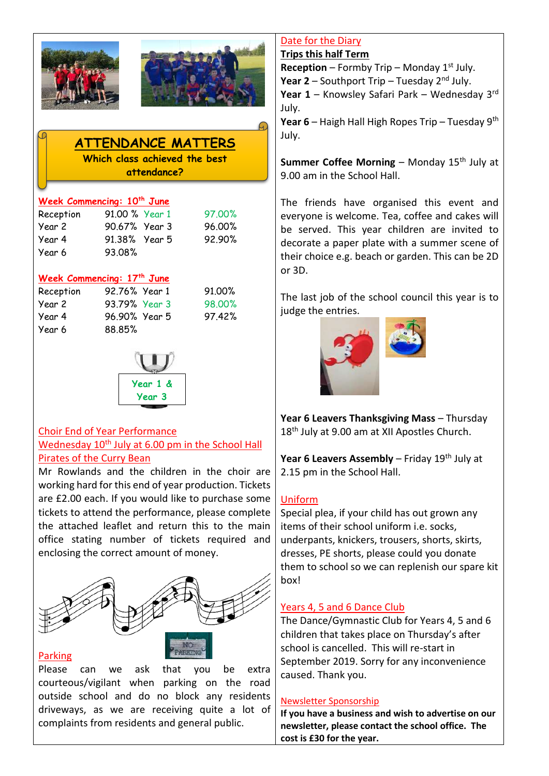



## **ATTENDANCE MATTERS**

**Which class achieved the best attendance?**

#### **Week Commencing: 10th June**

| Reception | 91.00 % Year 1 |  |
|-----------|----------------|--|
| Year 2    | 90.67% Year 3  |  |
| Year 4    | 91.38% Year 5  |  |
| Year 6    | 93.08%         |  |

#### **Week Commencing: 17th June**

| Reception | 92.76% Year 1 | 91.00% |
|-----------|---------------|--------|
| Year 2    | 93.79% Year 3 | 98,00% |
| Year 4    | 96.90% Year 5 | 97.42% |
| Year 6    | 88.85%        |        |
|           |               |        |



#### Choir End of Year Performance Wednesday 10<sup>th</sup> July at 6.00 pm in the School Hall Pirates of the Curry Bean

Mr Rowlands and the children in the choir are working hard for this end of year production. Tickets are £2.00 each. If you would like to purchase some tickets to attend the performance, please complete the attached leaflet and return this to the main office stating number of tickets required and enclosing the correct amount of money.



#### Parking

Please can we ask that you be extra courteous/vigilant when parking on the road outside school and do no block any residents driveways, as we are receiving quite a lot of complaints from residents and general public.

#### Date for the Diary **Trips this half Term**

**Reception** – Formby Trip – Monday  $1^{st}$  July.

**Year 2** – Southport Trip – Tuesday 2nd July.

**Year 1** – Knowsley Safari Park – Wednesday 3rd July.

**Year 6** – Haigh Hall High Ropes Trip – Tuesday 9th July.

**Summer Coffee Morning** – Monday 15<sup>th</sup> July at 9.00 am in the School Hall.

The friends have organised this event and everyone is welcome. Tea, coffee and cakes will be served. This year children are invited to decorate a paper plate with a summer scene of their choice e.g. beach or garden. This can be 2D or 3D.

The last job of the school council this year is to judge the entries.



**Year 6 Leavers Thanksgiving Mass** – Thursday 18<sup>th</sup> July at 9.00 am at XII Apostles Church.

**Year 6 Leavers Assembly** – Friday 19<sup>th</sup> July at 2.15 pm in the School Hall.

### Uniform

Special plea, if your child has out grown any items of their school uniform i.e. socks, underpants, knickers, trousers, shorts, skirts, dresses, PE shorts, please could you donate them to school so we can replenish our spare kit box!

#### Years 4, 5 and 6 Dance Club

The Dance/Gymnastic Club for Years 4, 5 and 6 children that takes place on Thursday's after school is cancelled. This will re-start in September 2019. Sorry for any inconvenience caused. Thank you.

#### Newsletter Sponsorship

**If you have a business and wish to advertise on our newsletter, please contact the school office. The cost is £30 for the year.**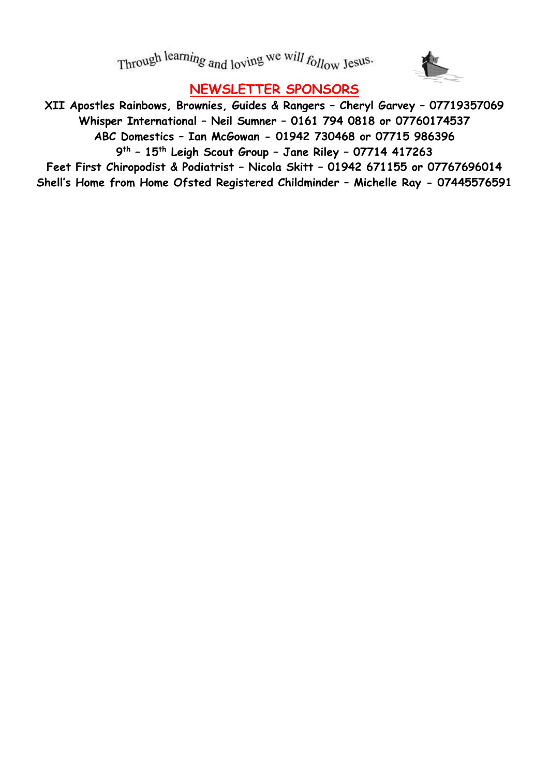Through learning and loving we will follow Jesus.



# **NEWSLETTER SPONSORS**

**XII Apostles Rainbows, Brownies, Guides & Rangers – Cheryl Garvey – 07719357069 Whisper International – Neil Sumner – 0161 794 0818 or 07760174537 ABC Domestics – Ian McGowan - 01942 730468 or 07715 986396 9 th – 15th Leigh Scout Group – Jane Riley – 07714 417263 Feet First Chiropodist & Podiatrist – Nicola Skitt – 01942 671155 or 07767696014 Shell's Home from Home Ofsted Registered Childminder – Michelle Ray - 07445576591**